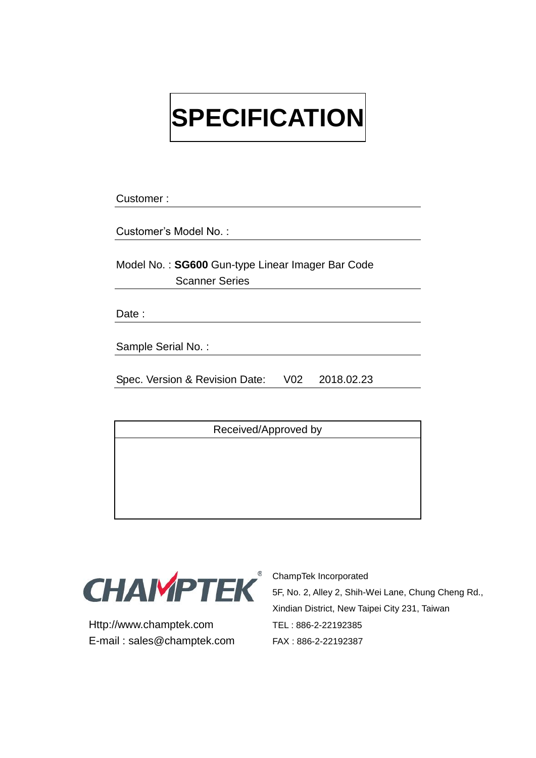# **SPECIFICATION**

Customer :

Customer's Model No. :

Model No. : **SG600** Gun-type Linear Imager Bar Code Scanner Series

Date:

Sample Serial No. :

Spec. Version & Revision Date: V02 2018.02.23

Received/Approved by



Http://www.champtek.com TEL : 886-2-22192385 E-mail : sales@champtek.com FAX : 886-2-22192387

<sup>®</sup> ChampTek Incorporated 5F, No. 2, Alley 2, Shih-Wei Lane, Chung Cheng Rd., Xindian District, New Taipei City 231, Taiwan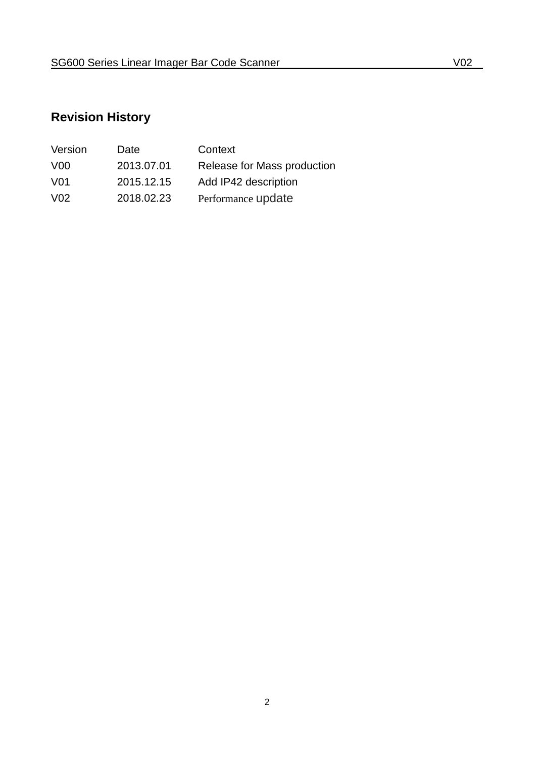# **Revision History**

| Version          | Date       | Context                     |
|------------------|------------|-----------------------------|
| V <sub>0</sub>   | 2013.07.01 | Release for Mass production |
| V01              | 2015.12.15 | Add IP42 description        |
| V <sub>0</sub> 2 | 2018.02.23 | Performance update          |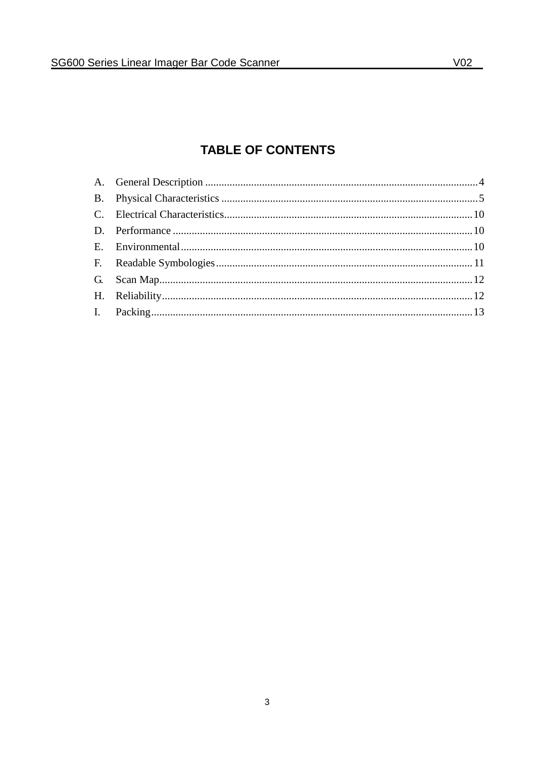## **TABLE OF CONTENTS**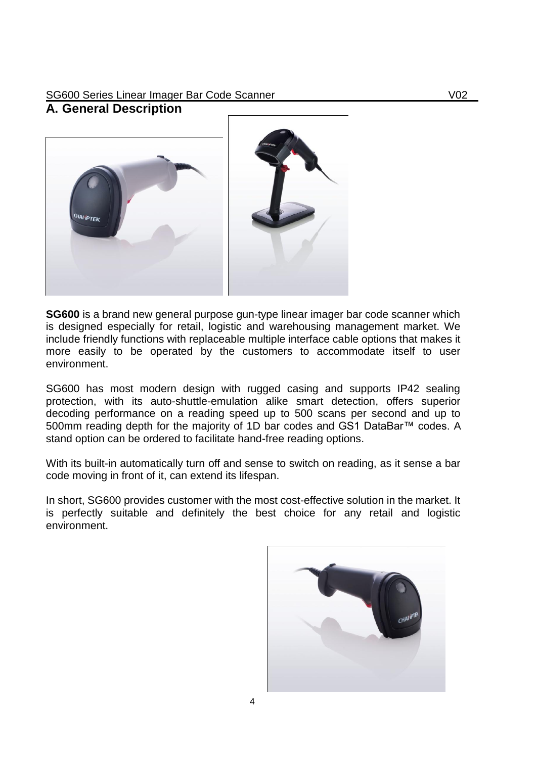## SG600 Series Linear Imager Bar Code Scanner Voltage and Voltage Voltage Voltage Voltage Voltage Voltage Voltage

#### <span id="page-3-0"></span>**A. General Description**



**SG600** is a brand new general purpose gun-type linear imager bar code scanner which is designed especially for retail, logistic and warehousing management market. We include friendly functions with replaceable multiple interface cable options that makes it more easily to be operated by the customers to accommodate itself to user environment.

SG600 has most modern design with rugged casing and supports IP42 sealing protection, with its auto-shuttle-emulation alike smart detection, offers superior decoding performance on a reading speed up to 500 scans per second and up to 500mm reading depth for the majority of 1D bar codes and GS1 DataBar™ codes. A stand option can be ordered to facilitate hand-free reading options.

With its built-in automatically turn off and sense to switch on reading, as it sense a bar code moving in front of it, can extend its lifespan.

In short, SG600 provides customer with the most cost-effective solution in the market. It is perfectly suitable and definitely the best choice for any retail and logistic environment.

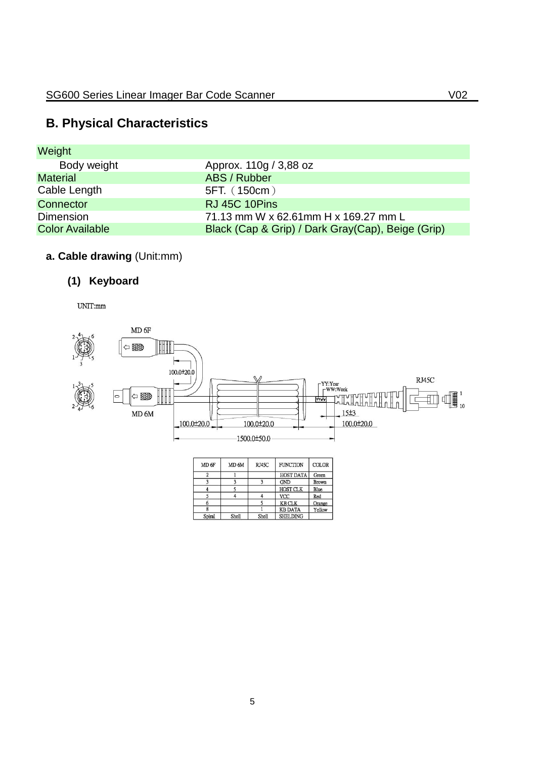## <span id="page-4-0"></span>**B. Physical Characteristics**

| <b>Weight</b>          |                                                   |
|------------------------|---------------------------------------------------|
| Body weight            | Approx. 110g / 3,88 oz                            |
| <b>Material</b>        | ABS / Rubber                                      |
| Cable Length           | 5FT. (150cm)                                      |
| Connector              | RJ 45C 10Pins                                     |
| <b>Dimension</b>       | 71.13 mm W x 62.61mm H x 169.27 mm L              |
| <b>Color Available</b> | Black (Cap & Grip) / Dark Gray(Cap), Beige (Grip) |

## **a. Cable drawing** (Unit:mm)

## **(1) Keyboard**

 $UNIT:mm$ 



| MD <sub>6F</sub> | MD <sub>6</sub> M | RJ45C | <b>FUNCTION</b>  | COLOR  |
|------------------|-------------------|-------|------------------|--------|
| 2                |                   |       | <b>HOST DATA</b> | Green  |
|                  |                   |       | <b>GND</b>       | Brown  |
|                  |                   |       | <b>HOST CLK</b>  | Blue   |
|                  |                   |       | <b>VCC</b>       | Red    |
|                  |                   |       | <b>KB CLK</b>    | Orange |
|                  |                   |       | <b>KB DATA</b>   | Yellow |
| Spiral           | Shell             | Shell | <b>SHELDING</b>  |        |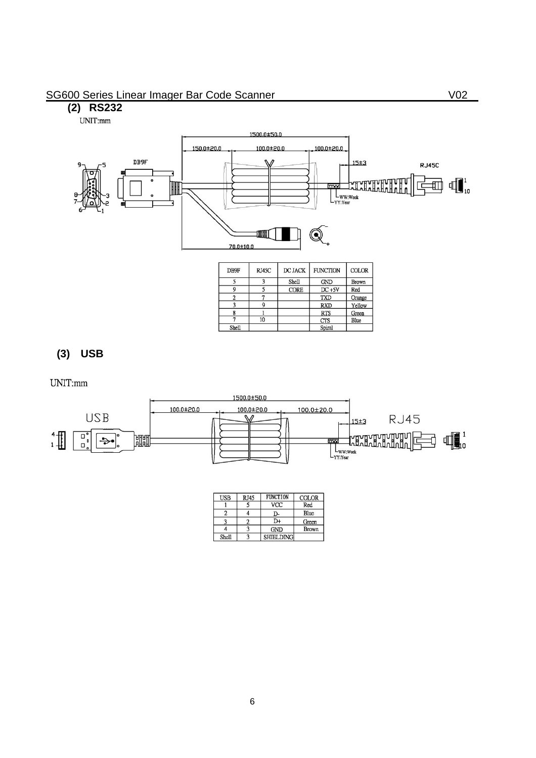#### SG600 Series Linear Imager Bar Code Scanner Voltage and Voltage Voltage Voltage Voltage Voltage Voltage Voltage

## **(2) RS232**

UNIT:mm



| DB9F  | RJ45C | DC JACK      | <b>FUNCTION</b> | <b>COLOR</b> |
|-------|-------|--------------|-----------------|--------------|
|       | 3     | <b>Shell</b> | <b>GND</b>      | <b>Brown</b> |
| 9     |       | <b>CORE</b>  | $DC + 5V$       | Red          |
|       |       |              | <b>TXD</b>      | Orange       |
|       |       |              | <b>RXD</b>      | Yellow       |
|       |       |              | <b>RTS</b>      | Green        |
|       | 10    |              | <b>CTS</b>      | Blue         |
| Shell |       |              | Spiral          |              |

#### **(3) USB**

UNIT:mm

![](_page_5_Figure_7.jpeg)

| <b>USB</b> | RJ45 | <b>FUNCTION</b>  | COLOR        |
|------------|------|------------------|--------------|
|            |      | <b>VCC</b>       | Red          |
|            |      | O-               | Blue         |
|            |      | D+               | Green        |
|            |      | <b>GND</b>       | <b>Brown</b> |
| Shell      |      | <b>SHIELDING</b> |              |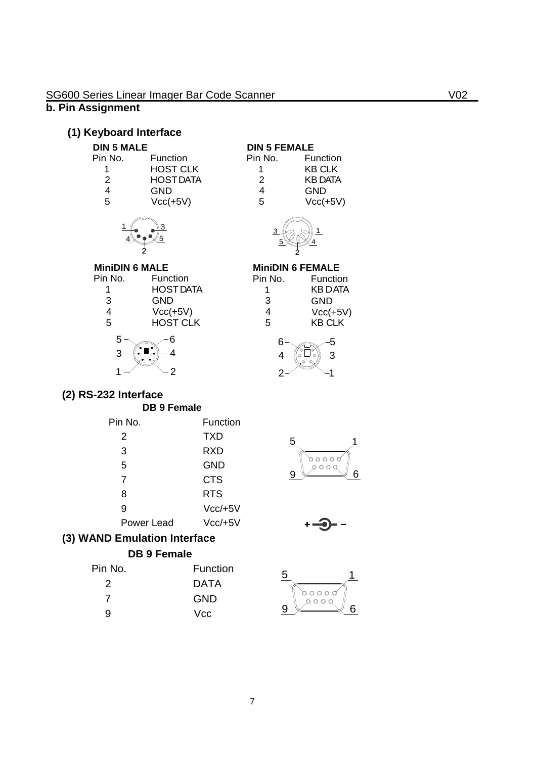#### **b. Pin Assignment**

#### **(1) Keyboard Interface**

| Pin No. | Function         |
|---------|------------------|
|         | HOST CLK         |
| 2       | <b>HOST DATA</b> |
| 4       | GND              |
| 5       | $Vcc(+5V)$       |

5  $\overline{3}$ 

|   | <b>DIN 5 FEMALE</b> |                |
|---|---------------------|----------------|
|   | Pin No.             | Function       |
| < |                     | <b>KB CLK</b>  |
| Ά | 2                   | <b>KB DATA</b> |
|   | 4                   | GND            |
|   | 5                   | $Vcc(+5V)$     |
|   |                     |                |

![](_page_6_Picture_6.jpeg)

# **MiniDIN 6 MALE**<br>Pin No. Fune

 $\overline{4}$  $1$ 

| Function         |
|------------------|
| <b>HOST DATA</b> |
| GND              |
| $Vcc(+5V)$       |
| <b>HOST CLK</b>  |
|                  |

![](_page_6_Picture_9.jpeg)

![](_page_6_Figure_10.jpeg)

![](_page_6_Figure_11.jpeg)

## **(2) RS-232 Interface**

#### **DB 9 Female**

| Pin No.    | Function      |
|------------|---------------|
| 2          | TXD           |
| 3          | RXD           |
| 5          | GND           |
| 7          | <b>CTS</b>    |
| 8          | <b>RTS</b>    |
| 9          | $Vcc/+5V$     |
| Power Lead | $Vcc$ /+5 $V$ |
|            |               |

![](_page_6_Figure_15.jpeg)

![](_page_6_Picture_16.jpeg)

#### **(3) WAND Emulation Interface**

#### **DB 9 Female**

| Pin No. | <b>Function</b> |
|---------|-----------------|
| 2       | DATA            |
| 7       | GND             |
| 9       | Vcc             |
|         |                 |

![](_page_6_Picture_20.jpeg)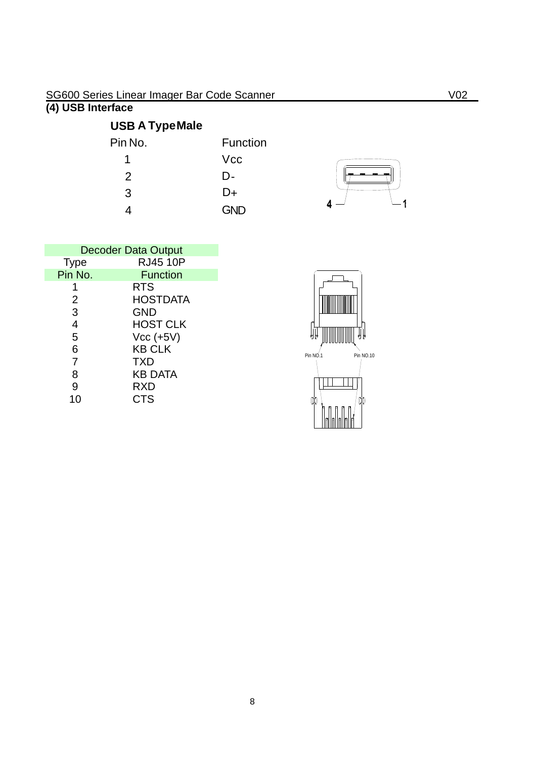#### **(4) USB Interface**

# **USB A TypeMale**

| Pin No. | <b>Function</b> |
|---------|-----------------|
|         | <b>Vcc</b>      |
| 2       | D-              |
| 3       | D+              |
|         | <b>GND</b>      |

![](_page_7_Figure_4.jpeg)

| <b>Decoder Data Output</b> |                 |  |
|----------------------------|-----------------|--|
| <b>Type</b>                | <b>RJ45 10P</b> |  |
| Pin No.                    | <b>Function</b> |  |
|                            | <b>RTS</b>      |  |
| 2                          | <b>HOSTDATA</b> |  |
| 3                          | <b>GND</b>      |  |
| 4                          | <b>HOST CLK</b> |  |
| 5                          | $Vcc$ (+5V)     |  |
| 6                          | <b>KB CLK</b>   |  |
| $\overline{7}$             | <b>TXD</b>      |  |
| 8                          | <b>KB DATA</b>  |  |
| 9                          | <b>RXD</b>      |  |
|                            | CTS             |  |

![](_page_7_Figure_6.jpeg)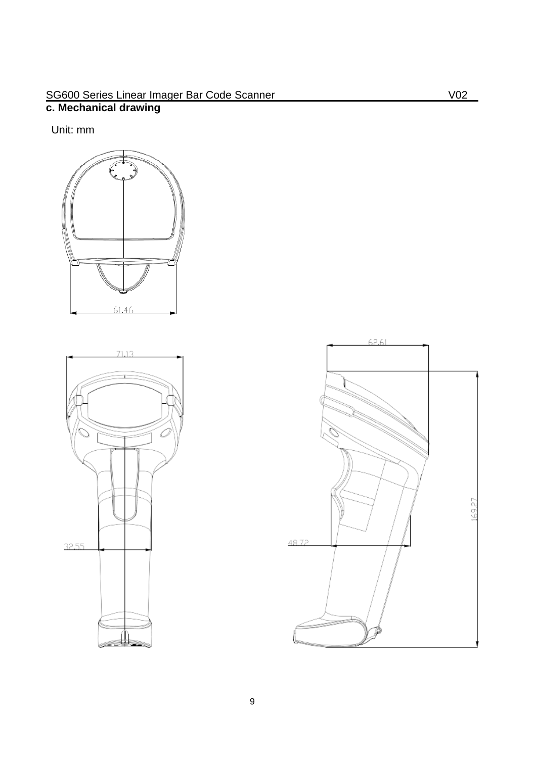#### SG600 Series Linear Imager Bar Code Scanner Volume 1999 No. 1999 **c. Mechanical drawing**

Unit: mm

![](_page_8_Figure_2.jpeg)

![](_page_8_Figure_3.jpeg)

![](_page_8_Figure_4.jpeg)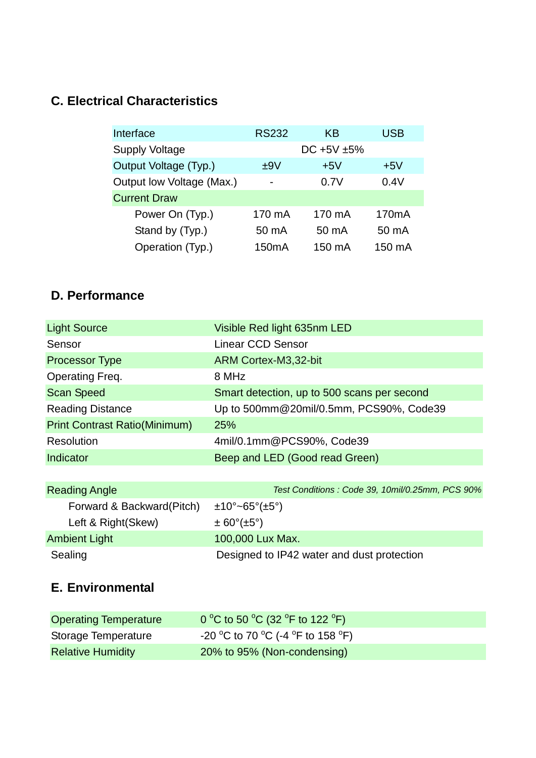## <span id="page-9-0"></span>**C. Electrical Characteristics**

| Interface                 | <b>RS232</b>       | KB               | USB                |
|---------------------------|--------------------|------------------|--------------------|
| <b>Supply Voltage</b>     |                    | DC $+5V \pm 5\%$ |                    |
| Output Voltage (Typ.)     | ±9V                | $+5V$            | $+5V$              |
| Output low Voltage (Max.) | $\blacksquare$     | 0.7V             | 0.4V               |
| <b>Current Draw</b>       |                    |                  |                    |
| Power On (Typ.)           | 170 mA             | 170 mA           | 170 <sub>m</sub> A |
| Stand by (Typ.)           | 50 mA              | 50 mA            | 50 mA              |
| Operation (Typ.)          | 150 <sub>m</sub> A | 150 mA           | 150 mA             |

## <span id="page-9-1"></span>**D. Performance**

| <b>Light Source</b>                  | Visible Red light 635nm LED                 |
|--------------------------------------|---------------------------------------------|
| Sensor                               | <b>Linear CCD Sensor</b>                    |
| <b>Processor Type</b>                | ARM Cortex-M3,32-bit                        |
| Operating Freq.                      | 8 MHz                                       |
| <b>Scan Speed</b>                    | Smart detection, up to 500 scans per second |
| <b>Reading Distance</b>              | Up to 500mm@20mil/0.5mm, PCS90%, Code39     |
| <b>Print Contrast Ratio(Minimum)</b> | 25%                                         |
| Resolution                           | 4mil/0.1mm@PCS90%, Code39                   |
| Indicator                            | Beep and LED (Good read Green)              |
|                                      |                                             |

| <b>Reading Angle</b>      | Test Conditions: Code 39, 10mil/0.25mm, PCS 90% |
|---------------------------|-------------------------------------------------|
| Forward & Backward(Pitch) | $\pm 10^\circ \sim 65^\circ (\pm 5^\circ)$      |
| Left & Right(Skew)        | $\pm 60^\circ (\pm 5^\circ)$                    |
| <b>Ambient Light</b>      | 100,000 Lux Max.                                |
| Sealing                   | Designed to IP42 water and dust protection      |

## <span id="page-9-2"></span>**E. Environmental**

| <b>Operating Temperature</b> | 0 °C to 50 °C (32 °F to 122 °F)   |
|------------------------------|-----------------------------------|
| Storage Temperature          | -20 °C to 70 °C (-4 °F to 158 °F) |
| <b>Relative Humidity</b>     | 20% to 95% (Non-condensing)       |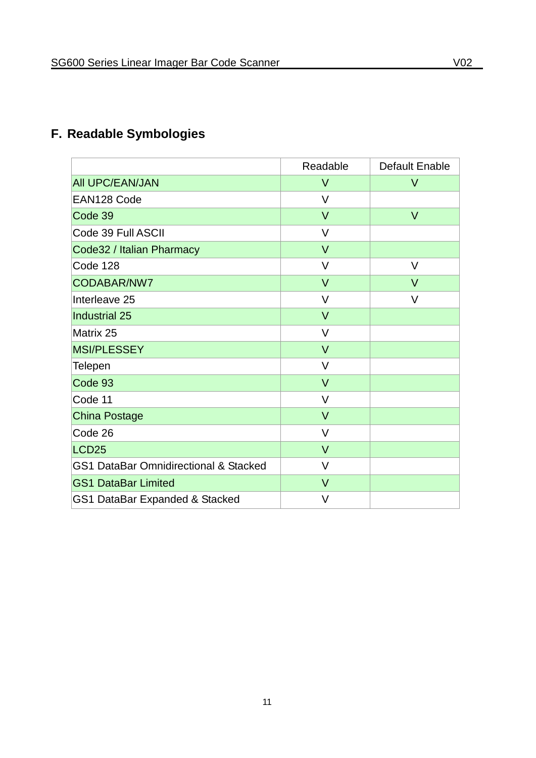# <span id="page-10-0"></span>**F. Readable Symbologies**

|                                                  | Readable | Default Enable |
|--------------------------------------------------|----------|----------------|
| <b>AII UPC/EAN/JAN</b>                           | $\vee$   | $\vee$         |
| EAN128 Code                                      | $\vee$   |                |
| Code 39                                          | $\vee$   | $\vee$         |
| Code 39 Full ASCII                               | $\vee$   |                |
| Code32 / Italian Pharmacy                        | $\vee$   |                |
| Code 128                                         | $\vee$   | V              |
| CODABAR/NW7                                      | $\vee$   | $\vee$         |
| Interleave 25                                    | V        | V              |
| Industrial 25                                    | $\vee$   |                |
| Matrix 25                                        | $\vee$   |                |
| MSI/PLESSEY                                      | $\vee$   |                |
| <b>Telepen</b>                                   | $\vee$   |                |
| Code 93                                          | $\vee$   |                |
| Code 11                                          | $\vee$   |                |
| China Postage                                    | $\vee$   |                |
| Code 26                                          | $\vee$   |                |
| LCD <sub>25</sub>                                | $\vee$   |                |
| <b>GS1 DataBar Omnidirectional &amp; Stacked</b> | $\vee$   |                |
| <b>GS1 DataBar Limited</b>                       | $\vee$   |                |
| GS1 DataBar Expanded & Stacked                   | $\vee$   |                |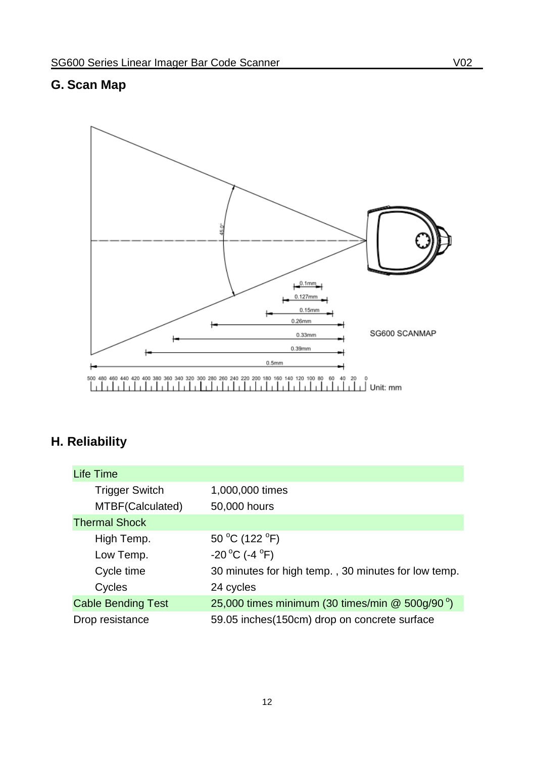## <span id="page-11-0"></span>**G. Scan Map**

![](_page_11_Figure_2.jpeg)

## <span id="page-11-1"></span>**H. Reliability**

| <b>Life Time</b>          |                                                             |
|---------------------------|-------------------------------------------------------------|
| <b>Trigger Switch</b>     | 1,000,000 times                                             |
| MTBF(Calculated)          | 50,000 hours                                                |
| <b>Thermal Shock</b>      |                                                             |
| High Temp.                | 50 °C (122 °F)                                              |
| Low Temp.                 | -20 °C (-4 °F)                                              |
| Cycle time                | 30 minutes for high temp., 30 minutes for low temp.         |
| Cycles                    | 24 cycles                                                   |
| <b>Cable Bending Test</b> | 25,000 times minimum (30 times/min $@$ 500g/90 $^{\circ}$ ) |
| Drop resistance           | 59.05 inches(150cm) drop on concrete surface                |